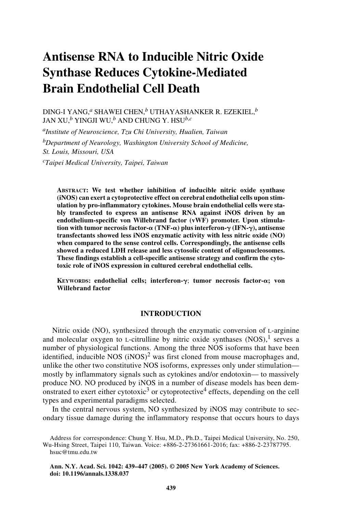# **Antisense RNA to Inducible Nitric Oxide Synthase Reduces Cytokine-Mediated Brain Endothelial Cell Death**

DING-I YANG,*a* SHAWEI CHEN,*b* UTHAYASHANKER R. EZEKIEL,*<sup>b</sup>* JAN XU,*b* YINGJI WU,*b* AND CHUNG Y. HSU*b*,*<sup>c</sup>*

*aInstitute of Neuroscience, Tzu Chi University, Hualien, Taiwan bDepartment of Neurology, Washington University School of Medicine, St. Louis, Missouri, USA cTaipei Medical University, Taipei, Taiwan*

**ABSTRACT: We test whether inhibition of inducible nitric oxide synthase (iNOS) can exert a cytoprotective effect on cerebral endothelial cells upon stimulation by pro-inflammatory cytokines. Mouse brain endothelial cells were stably transfected to express an antisense RNA against iNOS driven by an endothelium-specific von Willebrand factor (vWF) promoter. Upon stimulation with tumor necrosis factor- (TNF-) plus interferon-**- **(IFN-**-**), antisense transfectants showed less iNOS enzymatic activity with less nitric oxide (NO) when compared to the sense control cells. Correspondingly, the antisense cells showed a reduced LDH release and less cytosolic content of oligonucleosomes. These findings establish a cell-specific antisense strategy and confirm the cytotoxic role of iNOS expression in cultured cerebral endothelial cells.**

**KEYWORDS:** endothelial cells; interferon-γ; tumor necrosis factor-α; von **Willebrand factor**

# **INTRODUCTION**

Nitric oxide (NO), synthesized through the enzymatic conversion of L-arginine and molecular oxygen to L-citrulline by nitric oxide synthases  $(NOS)$ , serves a number of physiological functions. Among the three NOS isoforms that have been identified, inducible NOS  $(iNOS)^2$  was first cloned from mouse macrophages and, unlike the other two constitutive NOS isoforms, expresses only under stimulation mostly by inflammatory signals such as cytokines and/or endotoxin— to massively produce NO. NO produced by iNOS in a number of disease models has been demonstrated to exert either cytotoxic<sup>3</sup> or cytoprotective<sup>4</sup> effects, depending on the cell types and experimental paradigms selected.

In the central nervous system, NO synthesized by iNOS may contribute to secondary tissue damage during the inflammatory response that occurs hours to days

Address for correspondence: Chung Y. Hsu, M.D., Ph.D., Taipei Medical University, No. 250, Wu-Hsing Street, Taipei 110, Taiwan. Voice: +886-2-27361661-2016; fax: +886-2-23787795. hsuc@tmu.edu.tw

**Ann. N.Y. Acad. Sci. 1042: 439–447 (2005). © 2005 New York Academy of Sciences. doi: 10.1196/annals.1338.037**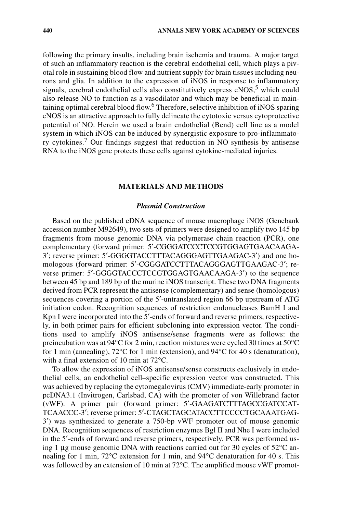following the primary insults, including brain ischemia and trauma. A major target of such an inflammatory reaction is the cerebral endothelial cell, which plays a pivotal role in sustaining blood flow and nutrient supply for brain tissues including neurons and glia. In addition to the expression of iNOS in response to inflammatory signals, cerebral endothelial cells also constitutively express  $eNOS<sub>1</sub><sup>5</sup>$  which could also release NO to function as a vasodilator and which may be beneficial in maintaining optimal cerebral blood flow.<sup>6</sup> Therefore, selective inhibition of iNOS sparing eNOS is an attractive approach to fully delineate the cytotoxic versus cytoprotective potential of NO. Herein we used a brain endothelial (Bend) cell line as a model system in which iNOS can be induced by synergistic exposure to pro-inflammatory cytokines.<sup>7</sup> Our findings suggest that reduction in NO synthesis by antisense RNA to the iNOS gene protects these cells against cytokine-mediated injuries.

# **MATERIALS AND METHODS**

## *Plasmid Construction*

Based on the published cDNA sequence of mouse macrophage iNOS (Genebank accession number M92649), two sets of primers were designed to amplify two 145 bp fragments from mouse genomic DNA via polymerase chain reaction (PCR), one complementary (forward primer: 5′-CGGGATCCCTCCGTGGAGTGAACAAGA-3′; reverse primer: 5′-GGGGTACCTTTACAGGGAGTTGAAGAC-3′) and one homologous (forward primer: 5′-CGGGATCCTTTACAGGGAGTTGAAGAC-3′; reverse primer: 5′-GGGGTACCCTCCGTGGAGTGAACAAGA-3′) to the sequence between 45 bp and 189 bp of the murine iNOS transcript. These two DNA fragments derived from PCR represent the antisense (complementary) and sense (homologous) sequences covering a portion of the 5′-untranslated region 66 bp upstream of ATG initiation codon. Recognition sequences of restriction endonucleases BamH I and Kpn I were incorporated into the 5<sup>'</sup>-ends of forward and reverse primers, respectively, in both primer pairs for efficient subcloning into expression vector. The conditions used to amplify iNOS antisense/sense fragments were as follows: the preincubation was at  $94^{\circ}$ C for 2 min, reaction mixtures were cycled 30 times at  $50^{\circ}$ C for 1 min (annealing), 72°C for 1 min (extension), and 94°C for 40 s (denaturation), with a final extension of 10 min at 72°C.

To allow the expression of iNOS antisense/sense constructs exclusively in endothelial cells, an endothelial cell–specific expression vector was constructed. This was achieved by replacing the cytomegalovirus (CMV) immediate-early promoter in pcDNA3.1 (Invitrogen, Carlsbad, CA) with the promoter of von Willebrand factor (vWF). A primer pair (forward primer: 5′-GAAGATCTTTAGCCGATCCAT-TCAACCC-3′; reverse primer: 5′-CTAGCTAGCATACCTTCCCCTGCAAATGAG-3′) was synthesized to generate a 750-bp vWF promoter out of mouse genomic DNA. Recognition sequences of restriction enzymes Bgl II and Nhe I were included in the 5′-ends of forward and reverse primers, respectively. PCR was performed using 1  $\mu$ g mouse genomic DNA with reactions carried out for 30 cycles of 52 $\degree$ C annealing for 1 min, 72°C extension for 1 min, and 94°C denaturation for 40 s. This was followed by an extension of 10 min at  $72^{\circ}$ C. The amplified mouse vWF promot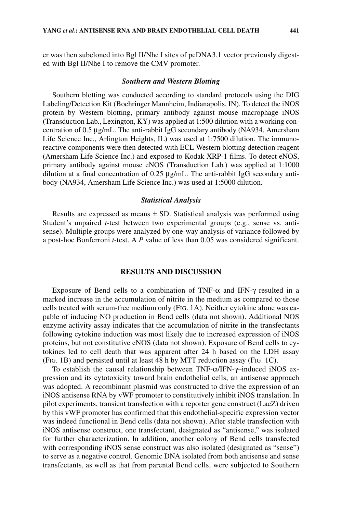er was then subcloned into Bgl II/Nhe I sites of pcDNA3.1 vector previously digested with Bgl II/Nhe I to remove the CMV promoter.

#### *Southern and Western Blotting*

Southern blotting was conducted according to standard protocols using the DIG Labeling/Detection Kit (Boehringer Mannheim, Indianapolis, IN). To detect the iNOS protein by Western blotting, primary antibody against mouse macrophage iNOS (Transduction Lab., Lexington, KY) was applied at 1:500 dilution with a working concentration of 0.5 µg/mL. The anti-rabbit IgG secondary antibody (NA934, Amersham Life Science Inc., Arlington Heights, IL) was used at 1:7500 dilution. The immunoreactive components were then detected with ECL Western blotting detection reagent (Amersham Life Science Inc.) and exposed to Kodak XRP-1 films. To detect eNOS, primary antibody against mouse eNOS (Transduction Lab.) was applied at 1:1000 dilution at a final concentration of 0.25 µg/mL. The anti-rabbit IgG secondary antibody (NA934, Amersham Life Science Inc.) was used at 1:5000 dilution.

## *Statistical Analysis*

Results are expressed as means  $\pm$  SD. Statistical analysis was performed using Student's unpaired *t*-test between two experimental groups (e.g., sense vs. antisense). Multiple groups were analyzed by one-way analysis of variance followed by a post-hoc Bonferroni *t*-test. A *P* value of less than 0.05 was considered significant.

# **RESULTS AND DISCUSSION**

Exposure of Bend cells to a combination of TNF- $\alpha$  and IFN- $\gamma$  resulted in a marked increase in the accumulation of nitrite in the medium as compared to those cells treated with serum-free medium only (FIG. 1A). Neither cytokine alone was capable of inducing NO production in Bend cells (data not shown). Additional NOS enzyme activity assay indicates that the accumulation of nitrite in the transfectants following cytokine induction was most likely due to increased expression of iNOS proteins, but not constitutive eNOS (data not shown). Exposure of Bend cells to cytokines led to cell death that was apparent after 24 h based on the LDH assay (FIG. 1B) and persisted until at least 48 h by MTT reduction assay (FIG. 1C).

To establish the causal relationship between TNF-α/IFN-γ–induced iNOS expression and its cytotoxicity toward brain endothelial cells, an antisense approach was adopted. A recombinant plasmid was constructed to drive the expression of an iNOS antisense RNA by vWF promoter to constitutively inhibit iNOS translation. In pilot experiments, transient transfection with a reporter gene construct (LacZ) driven by this vWF promoter has confirmed that this endothelial-specific expression vector was indeed functional in Bend cells (data not shown). After stable transfection with iNOS antisense construct, one transfectant, designated as "antisense," was isolated for further characterization. In addition, another colony of Bend cells transfected with corresponding iNOS sense construct was also isolated (designated as "sense") to serve as a negative control. Genomic DNA isolated from both antisense and sense transfectants, as well as that from parental Bend cells, were subjected to Southern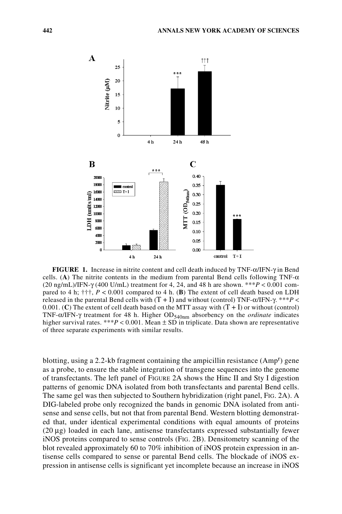

**FIGURE 1.** Increase in nitrite content and cell death induced by TNF-α/IFN-γ in Bend cells. (**A**) The nitrite contents in the medium from parental Bend cells following TNF- $\alpha$ (20 ng/mL)/IFN-γ (400 U/mL) treatment for 4, 24, and 48 h are shown. \*\*\**P* < 0.001 compared to 4 h;  $\uparrow\uparrow\uparrow$ ,  $P < 0.001$  compared to 4 h. (B) The extent of cell death based on LDH released in the parental Bend cells with  $(T + I)$  and without (control) TNF- $\alpha$ /IFN- $\gamma$ . \*\**P* < 0.001. (C) The extent of cell death based on the MTT assay with  $(T + I)$  or without (control) TNF-α/IFN-γ treatment for 48 h. Higher OD<sub>540nm</sub> absorbency on the *ordinate* indicates higher survival rates. \*\*\* $P < 0.001$ . Mean  $\pm$  SD in triplicate. Data shown are representative of three separate experiments with similar results.

blotting, using a 2.2-kb fragment containing the ampicillin resistance (Amp<sup>r</sup>) gene as a probe, to ensure the stable integration of transgene sequences into the genome of transfectants. The left panel of FIGURE 2A shows the Hinc II and Sty I digestion patterns of genomic DNA isolated from both transfectants and parental Bend cells. The same gel was then subjected to Southern hybridization (right panel, FIG. 2A). A DIG-labeled probe only recognized the bands in genomic DNA isolated from antisense and sense cells, but not that from parental Bend. Western blotting demonstrated that, under identical experimental conditions with equal amounts of proteins (20 µg) loaded in each lane, antisense transfectants expressed substantially fewer iNOS proteins compared to sense controls (FIG. 2B). Densitometry scanning of the blot revealed approximately 60 to 70% inhibition of iNOS protein expression in antisense cells compared to sense or parental Bend cells. The blockade of iNOS expression in antisense cells is significant yet incomplete because an increase in iNOS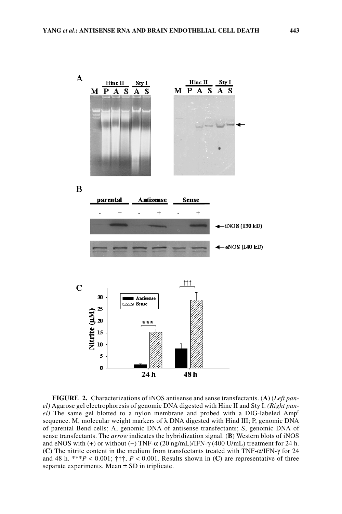

**FIGURE 2.** Characterizations of iNOS antisense and sense transfectants. (**A)** (*Left panel)* Agarose gel electrophoresis of genomic DNA digested with Hinc II and Sty I. *(Right panel)* The same gel blotted to a nylon membrane and probed with a DIG-labeled Amp<sup>r</sup> sequence. M, molecular weight markers of  $\lambda$  DNA digested with Hind III; P, genomic DNA of parental Bend cells; A, genomic DNA of antisense transfectants; S, genomic DNA of sense transfectants. The *arrow* indicates the hybridization signal. (**B**) Western blots of iNOS and eNOS with  $(+)$  or without  $(-)$  TNF- $\alpha$  (20 ng/mL)/IFN- $\gamma$  (400 U/mL) treatment for 24 h. (**C**) The nitrite content in the medium from transfectants treated with TNF-α/IFN-γ for 24 and 48 h. \*\*\**P* < 0.001;  $\uparrow \uparrow \uparrow$ , *P* < 0.001. Results shown in (C) are representative of three separate experiments. Mean  $\pm$  SD in triplicate.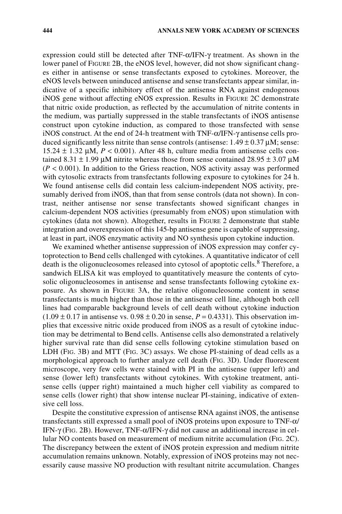expression could still be detected after TNF-α/IFN-γ treatment. As shown in the lower panel of FIGURE 2B, the eNOS level, however, did not show significant changes either in antisense or sense transfectants exposed to cytokines. Moreover, the eNOS levels between uninduced antisense and sense transfectants appear similar, indicative of a specific inhibitory effect of the antisense RNA against endogenous iNOS gene without affecting eNOS expression. Results in FIGURE 2C demonstrate that nitric oxide production, as reflected by the accumulation of nitrite contents in the medium, was partially suppressed in the stable transfectants of iNOS antisense construct upon cytokine induction, as compared to those transfected with sense iNOS construct. At the end of 24-h treatment with TNF-α/IFN-γ antisense cells produced significantly less nitrite than sense controls (antisense:  $1.49 \pm 0.37 \mu$ M; sense: 15.24  $\pm$  1.32  $\mu$ M,  $P < 0.001$ ). After 48 h, culture media from antisense cells contained 8.31  $\pm$  1.99 µM nitrite whereas those from sense contained 28.95  $\pm$  3.07 µM  $(P < 0.001)$ . In addition to the Griess reaction, NOS activity assay was performed with cytosolic extracts from transfectants following exposure to cytokines for 24 h. We found antisense cells did contain less calcium-independent NOS activity, presumably derived from iNOS, than that from sense controls (data not shown). In contrast, neither antisense nor sense transfectants showed significant changes in calcium-dependent NOS activities (presumably from eNOS) upon stimulation with cytokines (data not shown). Altogether, results in FIGURE 2 demonstrate that stable integration and overexpression of this 145-bp antisense gene is capable of suppressing, at least in part, iNOS enzymatic activity and NO synthesis upon cytokine induction.

We examined whether antisense suppression of iNOS expression may confer cytoprotection to Bend cells challenged with cytokines. A quantitative indicator of cell death is the oligonucleosomes released into cytosol of apoptotic cells.<sup>8</sup> Therefore, a sandwich ELISA kit was employed to quantitatively measure the contents of cytosolic oligonucleosomes in antisense and sense transfectants following cytokine exposure. As shown in FIGURE 3A, the relative oligonucleosome content in sense transfectants is much higher than those in the antisense cell line, although both cell lines had comparable background levels of cell death without cytokine induction  $(1.09 \pm 0.17)$  in antisense vs.  $0.98 \pm 0.20$  in sense,  $P = 0.4331$ ). This observation implies that excessive nitric oxide produced from iNOS as a result of cytokine induction may be detrimental to Bend cells. Antisense cells also demonstrated a relatively higher survival rate than did sense cells following cytokine stimulation based on LDH (FIG. 3B) and MTT (FIG. 3C) assays. We chose PI-staining of dead cells as a morphological approach to further analyze cell death (FIG. 3D). Under fluorescent microscope, very few cells were stained with PI in the antisense (upper left) and sense (lower left) transfectants without cytokines. With cytokine treatment, antisense cells (upper right) maintained a much higher cell viability as compared to sense cells (lower right) that show intense nuclear PI-staining, indicative of extensive cell loss.

Despite the constitutive expression of antisense RNA against iNOS, the antisense transfectants still expressed a small pool of iNOS proteins upon exposure to TNF-α/ IFN-γ (FIG. 2B). However, TNF-α/IFN-γ did not cause an additional increase in cellular NO contents based on measurement of medium nitrite accumulation (FIG. 2C). The discrepancy between the extent of iNOS protein expression and medium nitrite accumulation remains unknown. Notably, expression of iNOS proteins may not necessarily cause massive NO production with resultant nitrite accumulation. Changes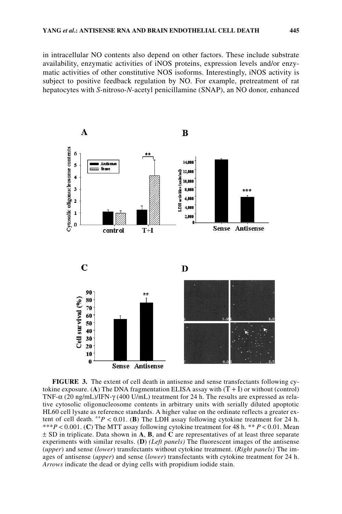in intracellular NO contents also depend on other factors. These include substrate availability, enzymatic activities of iNOS proteins, expression levels and/or enzymatic activities of other constitutive NOS isoforms. Interestingly, iNOS activity is subject to positive feedback regulation by NO. For example, pretreatment of rat hepatocytes with *S*-nitroso-*N*-acetyl penicillamine (SNAP), an NO donor, enhanced



**FIGURE 3.** The extent of cell death in antisense and sense transfectants following cytokine exposure. (A) The DNA fragmentation ELISA assay with  $(T + I)$  or without (control) TNF- $\alpha$  (20 ng/mL)/IFN- $\gamma$  (400 U/mL) treatment for 24 h. The results are expressed as relative cytosolic oligonucleosome contents in arbitrary units with serially diluted apoptotic HL60 cell lysate as reference standards. A higher value on the ordinate reflects a greater extent of cell death.  $*$ <sup>\*</sup>*P* < 0.01. (**B**) The LDH assay following cytokine treatment for 24 h. \*\*\**P* < 0.001. (**C**) The MTT assay following cytokine treatment for 48 h. \*\* *P* < 0.01. Mean ± SD in triplicate. Data shown in **A**, **B**, and **C** are representatives of at least three separate experiments with similar results. (**D**) *(Left panels)* The fluorescent images of the antisense (*upper*) and sense (*lower*) transfectants without cytokine treatment. (*Right panels)* The images of antisense (*upper*) and sense (*lower*) transfectants with cytokine treatment for 24 h. *Arrows* indicate the dead or dying cells with propidium iodide stain.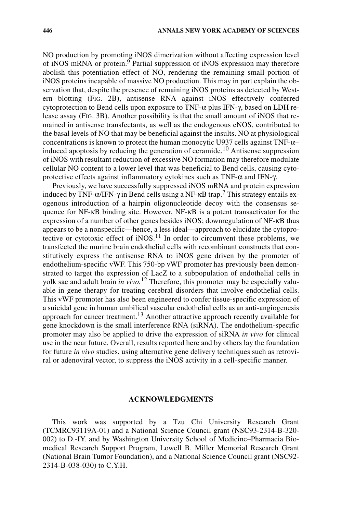NO production by promoting iNOS dimerization without affecting expression level of iNOS mRNA or protein.<sup>9</sup> Partial suppression of iNOS expression may therefore abolish this potentiation effect of NO, rendering the remaining small portion of iNOS proteins incapable of massive NO production. This may in part explain the observation that, despite the presence of remaining iNOS proteins as detected by Western blotting (FIG. 2B), antisense RNA against iNOS effectively conferred cytoprotection to Bend cells upon exposure to TNF- $\alpha$  plus IFN- $\gamma$ , based on LDH release assay (FIG. 3B). Another possibility is that the small amount of iNOS that remained in antisense transfectants, as well as the endogenous eNOS, contributed to the basal levels of NO that may be beneficial against the insults. NO at physiological concentrations is known to protect the human monocytic U937 cells against TNF-α– induced apoptosis by reducing the generation of ceramide.<sup>10</sup> Antisense suppression of iNOS with resultant reduction of excessive NO formation may therefore modulate cellular NO content to a lower level that was beneficial to Bend cells, causing cytoprotective effects against inflammatory cytokines such as TNF- $\alpha$  and IFN- $\gamma$ .

Previously, we have successfully suppressed iNOS mRNA and protein expression induced by TNF- $\alpha$ /IFN- $\gamma$  in Bend cells using a NF- $\kappa$ B trap.<sup>7</sup> This strategy entails exogenous introduction of a hairpin oligonucleotide decoy with the consensus sequence for NF-κB binding site. However, NF-κB is a potent transactivator for the expression of a number of other genes besides iNOS; downregulation of NF-κB thus appears to be a nonspecific—hence, a less ideal—approach to elucidate the cytoprotective or cytotoxic effect of  $iNOS$ <sup>11</sup> In order to circumvent these problems, we transfected the murine brain endothelial cells with recombinant constructs that constitutively express the antisense RNA to iNOS gene driven by the promoter of endothelium-specific vWF. This 750-bp vWF promoter has previously been demonstrated to target the expression of LacZ to a subpopulation of endothelial cells in yolk sac and adult brain *in vivo.*12 Therefore, this promoter may be especially valuable in gene therapy for treating cerebral disorders that involve endothelial cells. This vWF promoter has also been engineered to confer tissue-specific expression of a suicidal gene in human umbilical vascular endothelial cells as an anti-angiogenesis approach for cancer treatment.<sup>13</sup> Another attractive approach recently available for gene knockdown is the small interference RNA (siRNA). The endothelium-specific promoter may also be applied to drive the expression of siRNA *in vivo* for clinical use in the near future. Overall, results reported here and by others lay the foundation for future *in vivo* studies, using alternative gene delivery techniques such as retroviral or adenoviral vector, to suppress the iNOS activity in a cell-specific manner.

## **ACKNOWLEDGMENTS**

This work was supported by a Tzu Chi University Research Grant (TCMRC93119A-01) and a National Science Council grant (NSC93-2314-B-320- 002) to D.-IY. and by Washington University School of Medicine–Pharmacia Biomedical Research Support Program, Lowell B. Miller Memorial Research Grant (National Brain Tumor Foundation), and a National Science Council grant (NSC92- 2314-B-038-030) to C.Y.H.